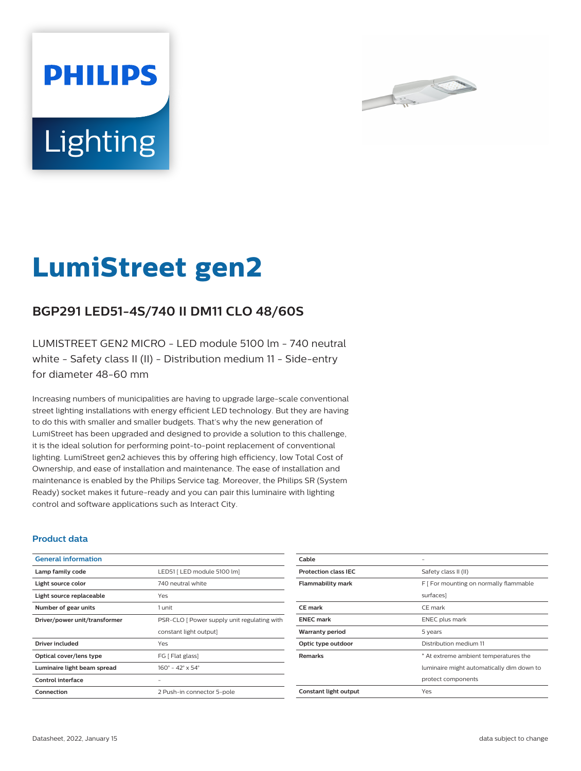



# **LumiStreet gen2**

## **BGP291 LED51-4S/740 II DM11 CLO 48/60S**

LUMISTREET GEN2 MICRO - LED module 5100 lm - 740 neutral white - Safety class II (II) - Distribution medium 11 - Side-entry for diameter 48-60 mm

Increasing numbers of municipalities are having to upgrade large-scale conventional street lighting installations with energy efficient LED technology. But they are having to do this with smaller and smaller budgets. That's why the new generation of LumiStreet has been upgraded and designed to provide a solution to this challenge, it is the ideal solution for performing point-to-point replacement of conventional lighting. LumiStreet gen2 achieves this by offering high efficiency, low Total Cost of Ownership, and ease of installation and maintenance. The ease of installation and maintenance is enabled by the Philips Service tag. Moreover, the Philips SR (System Ready) socket makes it future-ready and you can pair this luminaire with lighting control and software applications such as Interact City.

#### **Product data**

| <b>General information</b>    |                                              |  |
|-------------------------------|----------------------------------------------|--|
| Lamp family code              | LED51 [ LED module 5100 lm]                  |  |
| Light source color            | 740 neutral white                            |  |
| Light source replaceable      | Yes                                          |  |
| Number of gear units          | 1 unit                                       |  |
| Driver/power unit/transformer | PSR-CLO [ Power supply unit regulating with  |  |
|                               | constant light output]                       |  |
| Driver included               | Yes                                          |  |
| Optical cover/lens type       | FG [ Flat glass]                             |  |
| Luminaire light beam spread   | $160^{\circ} - 42^{\circ} \times 54^{\circ}$ |  |
| Control interface             |                                              |  |
| Connection                    | 2 Push-in connector 5-pole                   |  |

| Cable                       |                                           |  |
|-----------------------------|-------------------------------------------|--|
| <b>Protection class IEC</b> | Safety class II (II)                      |  |
| <b>Flammability mark</b>    | F   For mounting on normally flammable    |  |
|                             | surfaces]                                 |  |
| <b>CE</b> mark              | CE mark                                   |  |
| <b>ENEC</b> mark            | <b>ENEC</b> plus mark                     |  |
| <b>Warranty period</b>      | 5 years                                   |  |
| Optic type outdoor          | Distribution medium 11                    |  |
| <b>Remarks</b>              | * At extreme ambient temperatures the     |  |
|                             | luminaire might automatically dim down to |  |
|                             | protect components                        |  |
| Constant light output       | Yes                                       |  |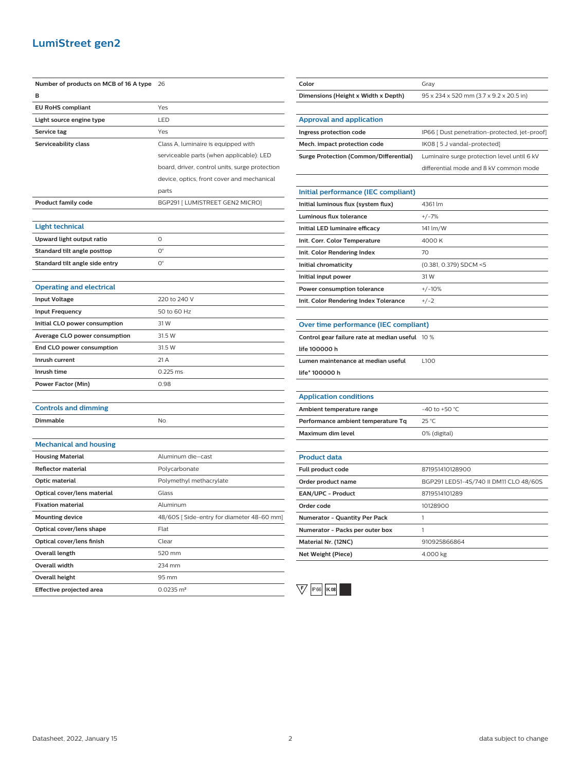### **LumiStreet gen2**

| Number of products on MCB of 16 A type 26 |                                                | Color                                           | Gray                                          |
|-------------------------------------------|------------------------------------------------|-------------------------------------------------|-----------------------------------------------|
| в                                         |                                                | Dimensions (Height x Width x Depth)             | 95 x 234 x 520 mm (3.7 x 9.2 x 20.5 in)       |
| <b>EU RoHS compliant</b>                  | Yes                                            |                                                 |                                               |
| Light source engine type                  | LED                                            | <b>Approval and application</b>                 |                                               |
| Service tag                               | Yes                                            | Ingress protection code                         | IP66 [ Dust penetration-protected, jet-proof] |
| Serviceability class                      | Class A, luminaire is equipped with            | Mech. impact protection code                    | IK08 [5 J vandal-protected]                   |
|                                           | serviceable parts (when applicable): LED       | <b>Surge Protection (Common/Differential)</b>   | Luminaire surge protection level until 6 kV   |
|                                           | board, driver, control units, surge protection |                                                 | differential mode and 8 kV common mode        |
|                                           | device, optics, front cover and mechanical     |                                                 |                                               |
|                                           | parts                                          | Initial performance (IEC compliant)             |                                               |
| <b>Product family code</b>                | BGP291 [ LUMISTREET GEN2 MICRO]                | Initial luminous flux (system flux)             | 4361 lm                                       |
|                                           |                                                | Luminous flux tolerance                         | $+/-7%$                                       |
| Light technical                           |                                                | Initial LED luminaire efficacy                  | 141 lm/W                                      |
| Upward light output ratio                 | $\circ$                                        | Init. Corr. Color Temperature                   | 4000 K                                        |
| Standard tilt angle posttop               | $\mathsf{O}^\circ$                             | Init. Color Rendering Index                     | 70                                            |
| Standard tilt angle side entry            | $\mathsf{O}^\circ$                             | Initial chromaticity                            | (0.381, 0.379) SDCM <5                        |
|                                           |                                                | Initial input power                             | 31 W                                          |
| <b>Operating and electrical</b>           |                                                | Power consumption tolerance                     | $+/-10%$                                      |
| <b>Input Voltage</b>                      | 220 to 240 V                                   | Init. Color Rendering Index Tolerance           | $+/-2$                                        |
| <b>Input Frequency</b>                    | 50 to 60 Hz                                    |                                                 |                                               |
| Initial CLO power consumption             | 31 W                                           | Over time performance (IEC compliant)           |                                               |
| Average CLO power consumption             | 31.5 W                                         | Control gear failure rate at median useful 10 % |                                               |
| End CLO power consumption                 | 31.5 W                                         | life 100000 h                                   |                                               |
| Inrush current                            | 21 A                                           | Lumen maintenance at median useful              | L100                                          |
| Inrush time                               | 0.225 ms                                       | life* 100000 h                                  |                                               |
| <b>Power Factor (Min)</b>                 | 0.98                                           |                                                 |                                               |
|                                           |                                                | <b>Application conditions</b>                   |                                               |
| <b>Controls and dimming</b>               |                                                | Ambient temperature range                       | -40 to +50 $^{\circ}$ C                       |
| Dimmable                                  | No                                             | Performance ambient temperature Tq              | 25 °C                                         |
|                                           |                                                | Maximum dim level                               | 0% (digital)                                  |
| <b>Mechanical and housing</b>             |                                                |                                                 |                                               |
| <b>Housing Material</b>                   | Aluminum die-cast                              | <b>Product data</b>                             |                                               |
| <b>Reflector material</b>                 | Polycarbonate                                  | Full product code                               | 871951410128900                               |
| Optic material                            | Polymethyl methacrylate                        | Order product name                              | BGP291 LED51-4S/740 II DM11 CLO 48/60S        |
| Optical cover/lens material               | Glass                                          | EAN/UPC - Product                               | 8719514101289                                 |
| <b>Fixation material</b>                  | Aluminum                                       | Order code                                      | 10128900                                      |
| <b>Mounting device</b>                    | 48/60S [Side-entry for diameter 48-60 mm]      | Numerator - Quantity Per Pack                   | $\mathbf{1}$                                  |
| Optical cover/lens shape                  | Flat                                           | Numerator - Packs per outer box                 | $\mathbf{1}$                                  |
| Optical cover/lens finish                 | Clear                                          | Material Nr. (12NC)                             | 910925866864                                  |
| Overall length                            | 520 mm                                         | Net Weight (Piece)                              | 4.000 kg                                      |
| Overall width                             | 234 mm                                         |                                                 |                                               |
| Overall height                            | 95 mm                                          |                                                 |                                               |
| Effective projected area                  | $0.0235 \text{ m}^2$                           | $\vee$<br>IP 66 K 08                            |                                               |